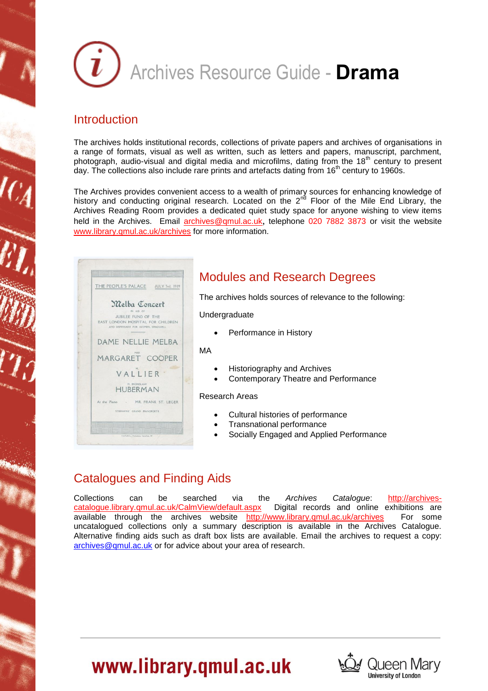

### **Introduction**

The archives holds institutional records, collections of private papers and archives of organisations in a range of formats, visual as well as written, such as letters and papers, manuscript, parchment, photograph, audio-visual and digital media and microfilms, dating from the 18<sup>th</sup> century to present day. The collections also include rare prints and artefacts dating from 16<sup>th</sup> century to 1960s.

The Archives provides convenient access to a wealth of primary sources for enhancing knowledge of history and conducting original research. Located on the  $2<sup>nd</sup>$  Floor of the Mile End Library, the Archives Reading Room provides a dedicated quiet study space for anyone wishing to view items held in the Archives. Email [archives@qmul.ac.uk](mailto:archives@qmul.ac.uk), telephone 020 7882 3873 or visit the website [www.library.qmul.ac.uk/archives](http://www.library.qmul.ac.uk/archives) for more information.

|                                                     |                                  | THE PEOPLE'S PALACE JULY 3rd, 1919 |
|-----------------------------------------------------|----------------------------------|------------------------------------|
| Melba Concert<br>AND DISPENSARY FOR WOMEN, SHADWELL | IN AID OF<br>JUBILEE FUND OF THE | EAST LONDON HOSPITAL FOR CHILDREN  |
|                                                     |                                  | DAME NELLIE MELBA                  |
|                                                     | MISS                             | MARGARET COOPER                    |
|                                                     | VALLIER                          |                                    |
|                                                     | M. BRONISLAW<br>HUBERMAN         |                                    |
| At the Piano                                        | STEINWAY GRAND PIANOFORTE        | - MR. FRANK ST. LEGER              |
|                                                     |                                  |                                    |

# Modules and Research Degrees

The archives holds sources of relevance to the following:

Undergraduate

Performance in History

MA

- Historiography and Archives
- Contemporary Theatre and Performance

#### Research Areas

- Cultural histories of performance
- Transnational performance
- Socially Engaged and Applied Performance

# Catalogues and Finding Aids

Collections can be searched via the *Archives Catalogue*: [http://archives](http://archives-catalogue.library.qmul.ac.uk/CalmView/default.aspx)[catalogue.library.qmul.ac.uk/CalmView/default.aspx](http://archives-catalogue.library.qmul.ac.uk/CalmView/default.aspx) Digital records and online exhibitions are available through the archives website <http://www.library.qmul.ac.uk/archives> For some uncatalogued collections only a summary description is available in the Archives Catalogue. Alternative finding aids such as draft box lists are available. Email the archives to request a copy: [archives@qmul.ac.uk](mailto:archives@qmul.ac.uk) or for advice about your area of research.